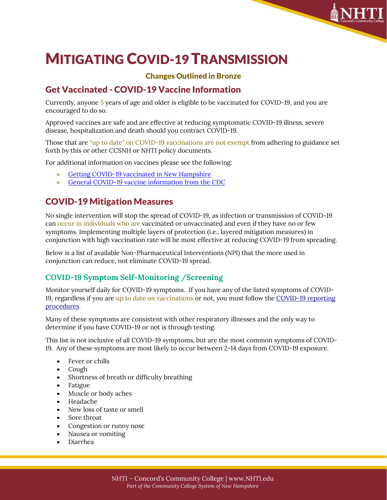# MITIGATING COVID-19 TRANSMISSION

## Changes Outlined in Bronze

# Get Vaccinated - COVID-19 Vaccine Information

Currently, anyone 5 years of age and older is eligible to be vaccinated for COVID-19, and you are encouraged to do so.

Approved vaccines are safe and are effective at reducing symptomatic COVID-19 illness, severe disease, hospitalization and death should you contract COVID-19.

Those that are "up to date" on COVID-19 vaccinations are not exempt from adhering to guidance set forth by this or other CCSNH or NHTI policy documents.

For additional information on vaccines please see the following:

- [Getting COVID-19 vaccinated in New Hampshire](https://www.vaccines.gov/results/?zipcode=03301&medications=779bfe52-0dd8-4023-a183-457eb100fccc,a84fb9ed-deb4-461c-b785-e17c782ef88b,784db609-dc1f-45a5-bad6-8db02e79d44f&radius=25&appointments=true)
- [General COVID-19 vaccine information](https://www.cdc.gov/coronavirus/2019-ncov/vaccines/index.html) from the CDC

# COVID-19 Mitigation Measures

No single intervention will stop the spread of COVID-19, as infection or transmission of COVID-19 can occur in individuals who are vaccinated or unvaccinated and even if they have no or few symptoms. Implementing multiple layers of protection (i.e., layered mitigation measures) in conjunction with high vaccination rate will be most effective at reducing COVID-19 from spreading.

Below is a list of available Non-Pharmaceutical Interventions (NPI) that the more used in conjunction can reduce, not eliminate COVID-19 spread.

## **COVID-19 Symptom Self-Monitoring /Screening**

Monitor yourself daily for COVID-19 symptoms. If you have any of the listed symptoms of COVID-19, regardless if you are up to date on vaccinations or not, you must follow the [COVID-19 reporting](https://www.nhti.edu/important-announcements/)  [procedures.](https://www.nhti.edu/important-announcements/)

Many of these symptoms are consistent with other respiratory illnesses and the only way to determine if you have COVID-19 or not is through testing.

This list is not inclusive of all COVID-19 symptoms, but are the most common symptoms of COVID-19. Any of these symptoms are most likely to occur between 2-14 days from COVID-19 exposure.

- Fever or chills
- Cough
- Shortness of breath or difficulty breathing
- Fatigue
- Muscle or body aches
- Headache
- New loss of taste or smell
- Sore throat
- Congestion or runny nose
- Nausea or vomiting
- Diarrhea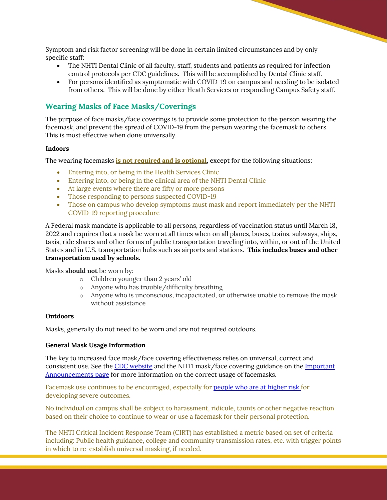Symptom and risk factor screening will be done in certain limited circumstances and by only specific staff:

- The NHTI Dental Clinic of all faculty, staff, students and patients as required for infection control protocols per CDC guidelines. This will be accomplished by Dental Clinic staff.
- For persons identified as symptomatic with COVID-19 on campus and needing to be isolated from others. This will be done by either Heath Services or responding Campus Safety staff.

### **Wearing Masks of Face Masks/Coverings**

The purpose of face masks/face coverings is to provide some protection to the person wearing the facemask, and prevent the spread of COVID-19 from the person wearing the facemask to others. This is most effective when done universally.

#### **Indoors**

The wearing facemasks **is not required and is optional**, except for the following situations:

- Entering into, or being in the Health Services Clinic
- Entering into, or being in the clinical area of the NHTI Dental Clinic
- At large events where there are fifty or more persons
- Those responding to persons suspected COVID-19
- Those on campus who develop symptoms must mask and report immediately per the NHTI COVID-19 reporting procedure

A Federal mask mandate is applicable to all persons, regardless of vaccination status until March 18, 2022 and requires that a mask be worn at all times when on all planes, buses, trains, subways, ships, taxis, ride shares and other forms of public transportation traveling into, within, or out of the United States and in U.S. transportation hubs such as airports and stations. **This includes buses and other transportation used by schools.**

Masks **should not** be worn by:

- o Children younger than 2 years' old
- o Anyone who has trouble/difficulty breathing
- o Anyone who is unconscious, incapacitated, or otherwise unable to remove the mask without assistance

#### **Outdoors**

Masks, generally do not need to be worn and are not required outdoors.

#### **General Mask Usage Information**

The key to increased face mask/face covering effectiveness relies on universal, correct and consistent use. See the [CDC website](https://www.cdc.gov/coronavirus/2019-ncov/prevent-getting-sick/diy-cloth-face-coverings.html) and the NHTI mask/face covering guidance on the Important [Announcements page](https://www.nhti.edu/important-announcements/) for more information on the correct usage of facemasks.

Facemask use continues to be encouraged, especially for [people who are at higher risk](https://www.cdc.gov/coronavirus/2019-ncov/need-extra-precautions/index.html?CDC_AA_refVal=https%3A%2F%2Fwww.cdc.gov%2Fcoronavirus%2F2019-ncov%2Fneed-extra-precautions%2Fpeople-at-increased-risk.html) for developing severe outcomes.

No individual on campus shall be subject to harassment, ridicule, taunts or other negative reaction based on their choice to continue to wear or use a facemask for their personal protection.

The NHTI Critical Incident Response Team (CIRT) has established a metric based on set of criteria including: Public health guidance, college and community transmission rates, etc. with trigger points in which to re-establish universal masking, if needed.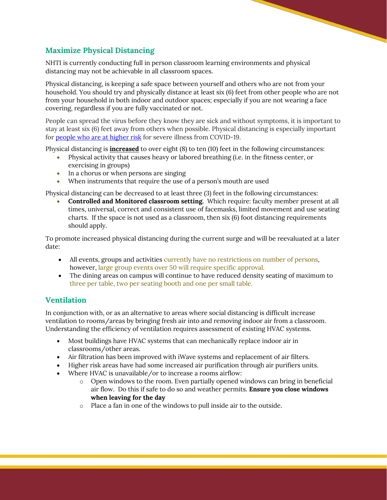## **Maximize Physical Distancing**

NHTI is currently conducting full in person classroom learning environments and physical distancing may not be achievable in all classroom spaces.

Physical distancing, is keeping a safe space between yourself and others who are not from your household. You should try and physically distance at least six (6) feet from other people who are not from your household in both indoor and outdoor spaces; especially if you are not wearing a face covering, regardless if you are fully vaccinated or not.

People can spread the virus before they know they are sick and without symptoms, it is important to stay at least six (6) feet away from others when possible. Physical distancing is especially important for [people who are at higher risk](https://www.cdc.gov/coronavirus/2019-ncov/need-extra-precautions/index.html?CDC_AA_refVal=https%3A%2F%2Fwww.cdc.gov%2Fcoronavirus%2F2019-ncov%2Fneed-extra-precautions%2Fpeople-at-increased-risk.html) for severe illness from COVID-19.

Physical distancing is **increased** to over eight (8) to ten (10) feet in the following circumstances:

- Physical activity that causes heavy or labored breathing (i.e. in the fitness center, or exercising in groups)
- In a chorus or when persons are singing
- When instruments that require the use of a person's mouth are used

Physical distancing can be decreased to at least three (3) feet in the following circumstances:

• **Controlled and Monitored classroom setting.** Which require: faculty member present at all times, universal, correct and consistent use of facemasks, limited movement and use seating charts. If the space is not used as a classroom, then six (6) foot distancing requirements should apply.

To promote increased physical distancing during the current surge and will be reevaluated at a later date:

- All events, groups and activities currently have no restrictions on number of persons, however, large group events over 50 will require specific approval.
- The dining areas on campus will continue to have reduced density seating of maximum to three per table, two per seating booth and one per small table.

## **Ventilation**

In conjunction with, or as an alternative to areas where social distancing is difficult increase ventilation to rooms/areas by bringing fresh air into and removing indoor air from a classroom. Understanding the efficiency of ventilation requires assessment of existing HVAC systems.

- Most buildings have HVAC systems that can mechanically replace indoor air in classrooms/other areas.
- Air filtration has been improved with iWave systems and replacement of air filters.
- Higher risk areas have had some increased air purification through air purifiers units.
- Where HVAC is unavailable/or to increase a rooms airflow:
	- o Open windows to the room. Even partially opened windows can bring in beneficial air flow. Do this if safe to do so and weather permits. **Ensure you close windows when leaving for the day**
	- o Place a fan in one of the windows to pull inside air to the outside.